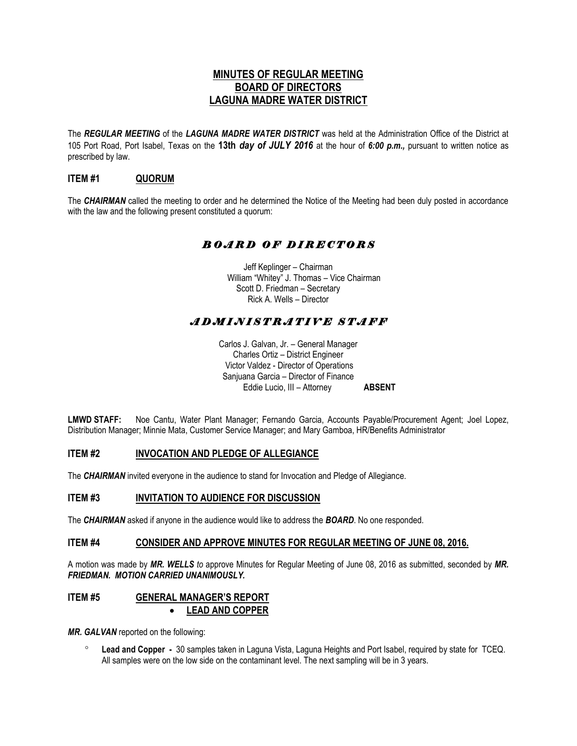# **MINUTES OF REGULAR MEETING BOARD OF DIRECTORS LAGUNA MADRE WATER DISTRICT**

The *REGULAR MEETING* of the *LAGUNA MADRE WATER DISTRICT* was held at the Administration Office of the District at 105 Port Road, Port Isabel, Texas on the **13th** *day of JULY 2016* at the hour of *6:00 p.m.,* pursuant to written notice as prescribed by law.

## **ITEM #1 QUORUM**

The *CHAIRMAN* called the meeting to order and he determined the Notice of the Meeting had been duly posted in accordance with the law and the following present constituted a quorum:

# *B O A R D O F D I R E C T O R S*

Jeff Keplinger – Chairman William "Whitey" J. Thomas – Vice Chairman Scott D. Friedman – Secretary Rick A. Wells – Director

# *A D M I N I S T R A T I V E S T A F F*

Carlos J. Galvan, Jr. – General Manager Charles Ortiz – District Engineer Victor Valdez - Director of Operations Sanjuana Garcia – Director of Finance Eddie Lucio, III – Attorney **ABSENT**

**LMWD STAFF:** Noe Cantu, Water Plant Manager; Fernando Garcia, Accounts Payable/Procurement Agent; Joel Lopez, Distribution Manager; Minnie Mata, Customer Service Manager; and Mary Gamboa, HR/Benefits Administrator

#### **ITEM #2 INVOCATION AND PLEDGE OF ALLEGIANCE**

The *CHAIRMAN* invited everyone in the audience to stand for Invocation and Pledge of Allegiance.

#### **ITEM #3 INVITATION TO AUDIENCE FOR DISCUSSION**

The *CHAIRMAN* asked if anyone in the audience would like to address the *BOARD*. No one responded.

#### **ITEM #4 CONSIDER AND APPROVE MINUTES FOR REGULAR MEETING OF JUNE 08, 2016.**

A motion was made by *MR. WELLS to* approve Minutes for Regular Meeting of June 08, 2016 as submitted, seconded by *MR. FRIEDMAN. MOTION CARRIED UNANIMOUSLY.* 

### **ITEM #5 GENERAL MANAGER'S REPORT LEAD AND COPPER**

*MR. GALVAN* reported on the following:

 **Lead and Copper -** 30 samples taken in Laguna Vista, Laguna Heights and Port Isabel, required by state for TCEQ. All samples were on the low side on the contaminant level. The next sampling will be in 3 years.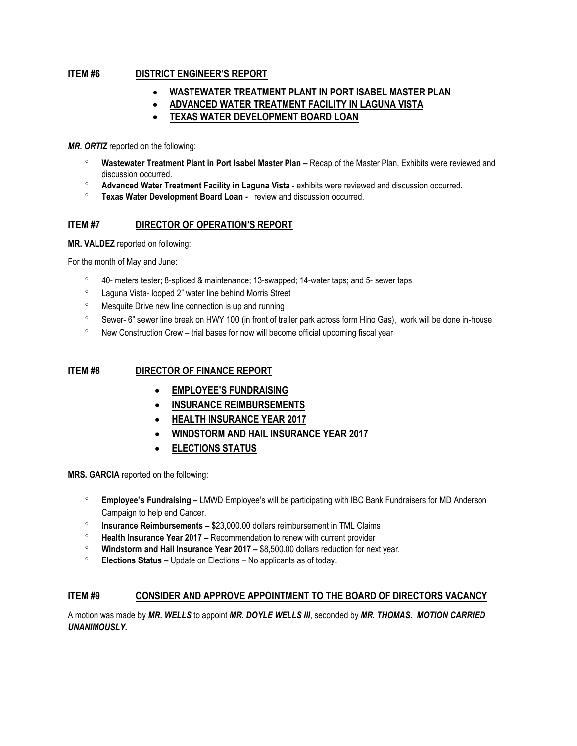### **ITEM #6 DISTRICT ENGINEER'S REPORT**

- **WASTEWATER TREATMENT PLANT IN PORT ISABEL MASTER PLAN**
- **ADVANCED WATER TREATMENT FACILITY IN LAGUNA VISTA**
- **TEXAS WATER DEVELOPMENT BOARD LOAN**

*MR. ORTIZ* reported on the following:

- **Wastewater Treatment Plant in Port Isabel Master Plan –** Recap of the Master Plan, Exhibits were reviewed and discussion occurred.
- **Advanced Water Treatment Facility in Laguna Vista** exhibits were reviewed and discussion occurred.
- **Texas Water Development Board Loan -** review and discussion occurred.

### **ITEM #7 DIRECTOR OF OPERATION'S REPORT**

**MR. VALDEZ** reported on following:

For the month of May and June:

- 40- meters tester; 8-spliced & maintenance; 13-swapped; 14-water taps; and 5- sewer taps
- Laguna Vista- looped 2" water line behind Morris Street
- <sup>o</sup> Mesquite Drive new line connection is up and running
- <sup>o</sup> Sewer- 6" sewer line break on HWY 100 (in front of trailer park across form Hino Gas), work will be done in-house
- New Construction Crew trial bases for now will become official upcoming fiscal year

### **ITEM #8 DIRECTOR OF FINANCE REPORT**

- **EMPLOYEE'S FUNDRAISING**
- **INSURANCE REIMBURSEMENTS**
- **HEALTH INSURANCE YEAR 2017**
- **WINDSTORM AND HAIL INSURANCE YEAR 2017**
- **ELECTIONS STATUS**

**MRS. GARCIA** reported on the following:

- **Employee's Fundraising –** LMWD Employee's will be participating with IBC Bank Fundraisers for MD Anderson Campaign to help end Cancer.
- **Insurance Reimbursements – \$**23,000.00 dollars reimbursement in TML Claims
- **Health Insurance Year 2017 –** Recommendation to renew with current provider
- **Windstorm and Hail Insurance Year 2017 –** \$8,500.00 dollars reduction for next year.
- **Elections Status –** Update on Elections No applicants as of today.

#### **ITEM #9 CONSIDER AND APPROVE APPOINTMENT TO THE BOARD OF DIRECTORS VACANCY**

A motion was made by *MR. WELLS* to appoint *MR. DOYLE WELLS III*, seconded by *MR. THOMAS***.** *MOTION CARRIED UNANIMOUSLY.*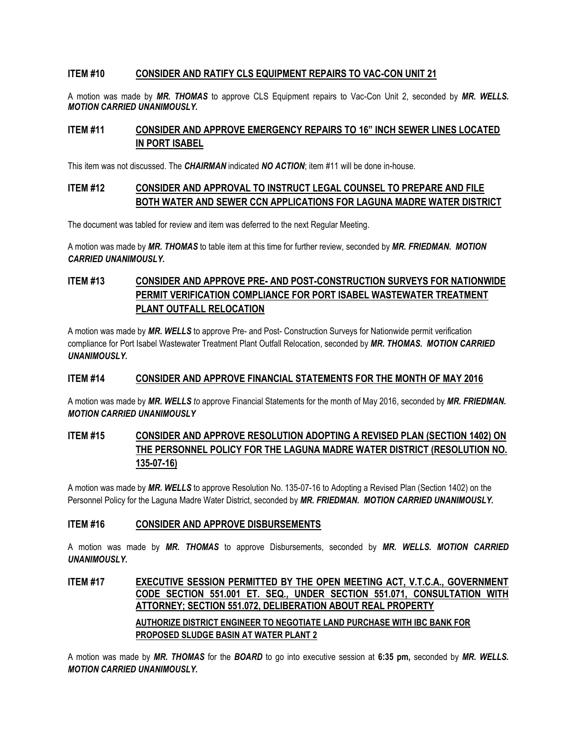### **ITEM #10 CONSIDER AND RATIFY CLS EQUIPMENT REPAIRS TO VAC-CON UNIT 21**

A motion was made by *MR. THOMAS* to approve CLS Equipment repairs to Vac-Con Unit 2, seconded by *MR. WELLS. MOTION CARRIED UNANIMOUSLY.*

### **ITEM #11 CONSIDER AND APPROVE EMERGENCY REPAIRS TO 16" INCH SEWER LINES LOCATED IN PORT ISABEL**

This item was not discussed. The *CHAIRMAN* indicated *NO ACTION*; item #11 will be done in-house.

### **ITEM #12 CONSIDER AND APPROVAL TO INSTRUCT LEGAL COUNSEL TO PREPARE AND FILE BOTH WATER AND SEWER CCN APPLICATIONS FOR LAGUNA MADRE WATER DISTRICT**

The document was tabled for review and item was deferred to the next Regular Meeting.

A motion was made by *MR. THOMAS* to table item at this time for further review, seconded by *MR. FRIEDMAN. MOTION CARRIED UNANIMOUSLY.*

# **ITEM #13 CONSIDER AND APPROVE PRE- AND POST-CONSTRUCTION SURVEYS FOR NATIONWIDE PERMIT VERIFICATION COMPLIANCE FOR PORT ISABEL WASTEWATER TREATMENT PLANT OUTFALL RELOCATION**

A motion was made by *MR. WELLS* to approve Pre- and Post- Construction Surveys for Nationwide permit verification compliance for Port Isabel Wastewater Treatment Plant Outfall Relocation, seconded by *MR. THOMAS. MOTION CARRIED UNANIMOUSLY.*

#### **ITEM #14 CONSIDER AND APPROVE FINANCIAL STATEMENTS FOR THE MONTH OF MAY 2016**

A motion was made by *MR. WELLS to* approve Financial Statements for the month of May 2016, seconded by *MR. FRIEDMAN. MOTION CARRIED UNANIMOUSLY*

# **ITEM #15 CONSIDER AND APPROVE RESOLUTION ADOPTING A REVISED PLAN (SECTION 1402) ON THE PERSONNEL POLICY FOR THE LAGUNA MADRE WATER DISTRICT (RESOLUTION NO. 135-07-16)**

A motion was made by *MR. WELLS* to approve Resolution No. 135-07-16 to Adopting a Revised Plan (Section 1402) on the Personnel Policy for the Laguna Madre Water District, seconded by *MR. FRIEDMAN. MOTION CARRIED UNANIMOUSLY.*

#### **ITEM #16 CONSIDER AND APPROVE DISBURSEMENTS**

A motion was made by *MR. THOMAS* to approve Disbursements, seconded by *MR. WELLS. MOTION CARRIED UNANIMOUSLY.*

# **ITEM #17 EXECUTIVE SESSION PERMITTED BY THE OPEN MEETING ACT, V.T.C.A., GOVERNMENT CODE SECTION 551.001 ET. SEQ., UNDER SECTION 551.071, CONSULTATION WITH ATTORNEY; SECTION 551.072, DELIBERATION ABOUT REAL PROPERTY AUTHORIZE DISTRICT ENGINEER TO NEGOTIATE LAND PURCHASE WITH IBC BANK FOR PROPOSED SLUDGE BASIN AT WATER PLANT 2**

A motion was made by *MR. THOMAS* for the *BOARD* to go into executive session at **6:35 pm,** seconded by *MR. WELLS. MOTION CARRIED UNANIMOUSLY.*